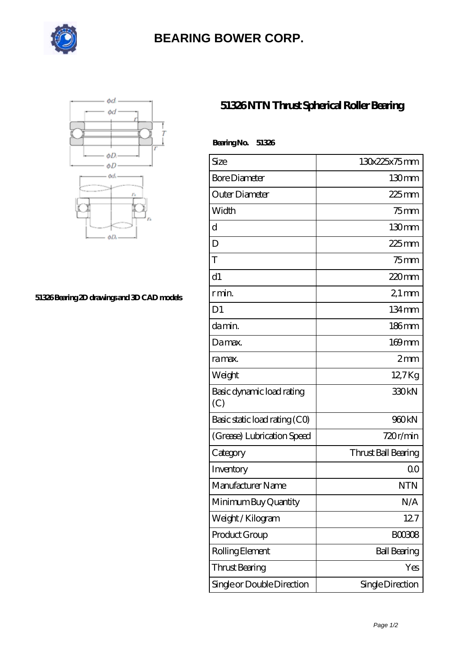

## **[BEARING BOWER CORP.](https://ballersunited.org)**



## **[51326 Bearing 2D drawings and 3D CAD models](https://ballersunited.org/pic-1037169.html)**

## **[51326 NTN Thrust Spherical Roller Bearing](https://ballersunited.org/thrust-tapered-roller-bearing/51326.html)**

| BearingNo.<br>51326              |                     |
|----------------------------------|---------------------|
| Size                             | 130x225x75mm        |
| <b>Bore Diameter</b>             | 130mm               |
| Outer Diameter                   | $225$ mm            |
| Width                            | $75$ mm             |
| $\mathbf d$                      | 130 <sub>mm</sub>   |
| D                                | $225$ mm            |
| T                                | $75$ mm             |
| d1                               | $220$ mm            |
| r min.                           | $21 \,\mathrm{mm}$  |
| D <sub>1</sub>                   | 134mm               |
| da min.                          | $186$ mm            |
| Damax.                           | $169$ mm            |
| ra max.                          | 2mm                 |
| Weight                           | 127Kg               |
| Basic dynamic load rating<br>(C) | 330 <sub>kN</sub>   |
| Basic static load rating (CO)    | 960kN               |
| (Grease) Lubrication Speed       | 720r/min            |
| Category                         | Thrust Ball Bearing |
| Inventory                        | 0 <sup>0</sup>      |
| Manufacturer Name                | <b>NTN</b>          |
| Minimum Buy Quantity             | N/A                 |
| Weight/Kilogram                  | 127                 |
| Product Group                    | <b>BOO3O8</b>       |
| Rolling Element                  | <b>Ball Bearing</b> |
| Thrust Bearing                   | Yes                 |
| Single or Double Direction       | Single Direction    |